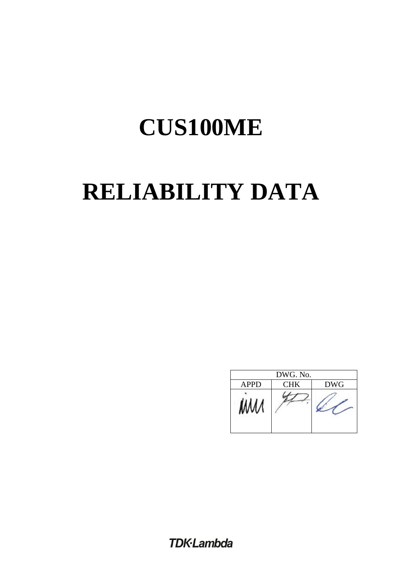# **RELIABILITY DATA**

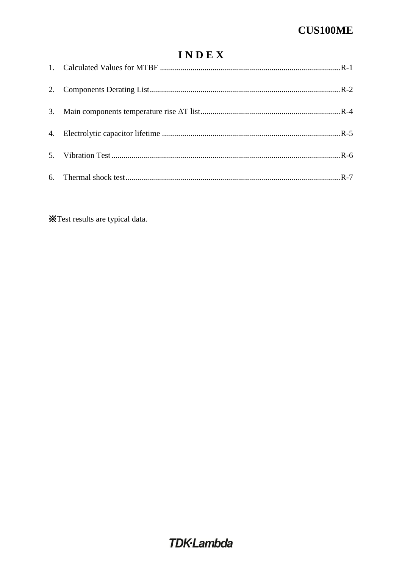### INDEX

**X**Test results are typical data.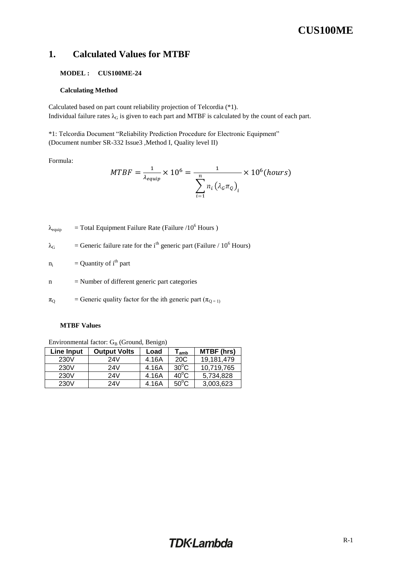### <span id="page-2-0"></span>**1. Calculated Values for MTBF**

#### **MODEL : CUS100ME-24**

#### **Calculating Method**

Calculated based on part count reliability projection of Telcordia (\*1). Individual failure rates  $\lambda_G$  is given to each part and MTBF is calculated by the count of each part.

\*1: Telcordia Document "Reliability Prediction Procedure for Electronic Equipment" (Document number SR-332 Issue3 ,Method I, Quality level II)

Formula:

$$
MTBF = \frac{1}{\lambda_{equip}} \times 10^6 = \frac{1}{\sum_{i=1}^{n} n_i (\lambda_c \pi_Q)_i} \times 10^6 (hours)
$$

 $\lambda_{\text{equip}}$  = Total Equipment Failure Rate (Failure /10<sup>6</sup> Hours )

$$
\lambda_G
$$
 = Generic failure rate for the i<sup>th</sup> generic part (Failure / 10<sup>6</sup> Hours)

 $n_i$  = Quantity of i<sup>th</sup> part

n = Number of different generic part categories

 $\pi_{\text{Q}}$  = Generic quality factor for the ith generic part ( $\pi_{\text{Q}}$  = 1)

#### **MTBF Values**

Environmental factor: GB (Ground, Benign)

| Line Input | <b>Output Volts</b> | Load  | $\mathsf{r}_{\mathsf{amb}}$ | <b>MTBF</b> (hrs) |
|------------|---------------------|-------|-----------------------------|-------------------|
| 230V       | 24V                 | 4.16A | 20C                         | 19.181.479        |
| 230V       | 24V                 | 4.16A | $30^{\circ}$ C              | 10,719,765        |
| 230V       | 24V                 | 4.16A | $40^{\circ}$ C              | 5.734.828         |
| 230V       | 24V                 | 4.16A | $50^{\circ}$ C              | 3,003,623         |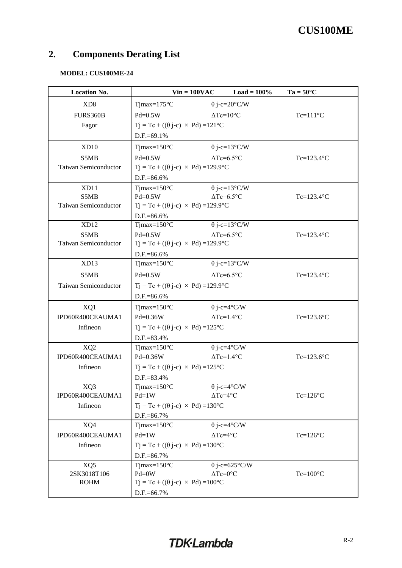### <span id="page-3-0"></span>**2. Components Derating List**

### **MODEL: CUS100ME-24**

| <b>Location No.</b>                 | $Vin = 100VAC$                                                       | Load = $100\%$           | $Ta = 50^{\circ}C$ |
|-------------------------------------|----------------------------------------------------------------------|--------------------------|--------------------|
| XD <sub>8</sub>                     | $T$ jmax=175 $\mathrm{^{\circ}C}$                                    | $\theta$ j-c=20°C/W      |                    |
| FURS360B                            | $Pd=0.5W$                                                            | $\Delta Tc=10^{\circ}C$  | $Tc=111^{\circ}C$  |
| Fagor                               | $Tj = Tc + ((\theta j-c) \times Pd) = 121^{\circ}C$                  |                          |                    |
|                                     | D.F.=69.1%                                                           |                          |                    |
| XD10                                | $T$ jmax= $150^{\circ}$ C                                            | $\theta$ j-c=13°C/W      |                    |
| S5MB                                | $Pd=0.5W$                                                            | $\Delta Tc = 6.5$ °C     | $Tc=123.4$ °C      |
| <b>Taiwan Semiconductor</b>         | $Tj = Tc + ((\theta j - c) \times Pd) = 129.9^{\circ}C$              |                          |                    |
|                                     | D.F.=86.6%                                                           |                          |                    |
| XD11                                | $T$ jmax= $150^{\circ}$ C                                            | $\theta$ j-c=13°C/W      |                    |
| S5MB                                | $Pd=0.5W$                                                            | $\Delta Tc = 6.5$ °C     | $Tc=123.4$ °C      |
| Taiwan Semiconductor                | $Tj = Tc + ((\theta j - c) \times Pd) = 129.9^{\circ}C$              |                          |                    |
|                                     | D.F.=86.6%                                                           |                          |                    |
| XD12                                | Tjmax= $150^{\circ}$ C                                               | $\theta$ j-c=13°C/W      |                    |
| S5MB<br>Taiwan Semiconductor        | $Pd=0.5W$<br>$Tj = Tc + ((\theta j - c) \times Pd) = 129.9^{\circ}C$ | $\Delta Tc = 6.5$ °C     | $Tc=123.4$ °C      |
|                                     |                                                                      |                          |                    |
| XD13                                | D.F.=86.6%<br>$T$ jmax= $150^{\circ}$ C                              | $\theta$ j-c=13°C/W      |                    |
| S5MB                                |                                                                      | $\Delta Tc=6.5^{\circ}C$ |                    |
|                                     | $Pd=0.5W$                                                            |                          | $Tc=123.4$ °C      |
| Taiwan Semiconductor                | $Tj = Tc + ((\theta j - c) \times Pd) = 129.9^{\circ}C$              |                          |                    |
|                                     | D.F.=86.6%                                                           |                          |                    |
| XQ1                                 | $T$ jmax= $150^{\circ}$ C                                            | $\theta$ j-c=4°C/W       |                    |
| IPD60R400CEAUMA1                    | Pd=0.36W                                                             | $\Delta Tc=1.4$ °C       | $Tc=123.6$ °C      |
| Infineon                            | $Tj = Tc + ((\theta j - c) \times Pd) = 125^{\circ}C$                |                          |                    |
|                                     | D.F.=83.4%<br>$T$ jmax= $150^{\circ}$ C                              | $\theta$ j-c=4°C/W       |                    |
| XQ <sub>2</sub><br>IPD60R400CEAUMA1 | Pd=0.36W                                                             | $\Delta Tc=1.4$ °C       | $Tc=123.6$ °C      |
| Infineon                            | $Tj = Tc + ((\theta j-c) \times Pd) = 125^{\circ}C$                  |                          |                    |
|                                     | D.F.=83.4%                                                           |                          |                    |
| XQ3                                 | Tjmax= $150^{\circ}$ C                                               | $\theta$ j-c=4°C/W       |                    |
| IPD60R400CEAUMA1                    | $Pd=1W$                                                              | $\Delta Tc=4^{\circ}C$   | $Tc=126^{\circ}C$  |
| Infineon                            | $Tj = Tc + ((\theta j - c) \times Pd) = 130^{\circ}C$                |                          |                    |
|                                     | D.F.=86.7%                                                           |                          |                    |
| XQ4                                 | $T$ jmax= $150^{\circ}$ C                                            | $\theta$ j-c=4°C/W       |                    |
| IPD60R400CEAUMA1                    | $Pd=1W$                                                              | $\Delta Tc=4$ °C         | $Tc=126^{\circ}C$  |
| Infineon                            | $Tj = Tc + ((\theta j - c) \times Pd) = 130^{\circ}C$                |                          |                    |
| D.F.=86.7%                          |                                                                      |                          |                    |
| XQ5                                 | Tjmax= $150^{\circ}$ C                                               | $\theta$ j-c=625°C/W     |                    |
| 2SK3018T106                         | $Pd = 0W$                                                            | $\Delta Tc=0$ °C         | $Tc=100^{\circ}C$  |
| <b>ROHM</b>                         | $Tj = Tc + ((\theta j - c) \times Pd) = 100^{\circ}C$                |                          |                    |
|                                     | D.F.=66.7%                                                           |                          |                    |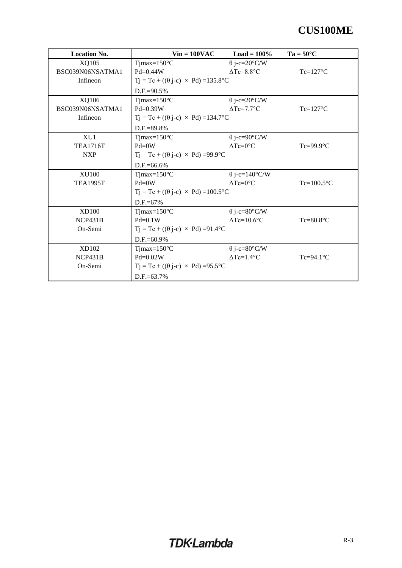| <b>Location No.</b> | $Vin = 100VAC$                                         | $Load = 100\%$                  | $Ta = 50^{\circ}C$ |
|---------------------|--------------------------------------------------------|---------------------------------|--------------------|
| XQ105               | Tjmax= $150^{\circ}$ C                                 | $\theta$ j-c=20°C/W             |                    |
| BSC039N06NSATMA1    | $Pd=0.44W$                                             | $\Delta$ Tc=8.8°C               | $Tc=127^{\circ}C$  |
| Infineon            | $Tj = Tc + ((\theta j - c) \times Pd) = 135.8$ °C      |                                 |                    |
|                     | $D.F.=90.5%$                                           |                                 |                    |
| XQ106               | Tjmax= $150^{\circ}$ C                                 | $\theta$ j-c=20°C/W             |                    |
| BSC039N06NSATMA1    | $Pd=0.39W$                                             | $\Delta Tc=7.7$ °C              | $Tc=127^{\circ}C$  |
| Infineon            | $Tj = Tc + ((\theta j - c) \times Pd) = 134.7$ °C      |                                 |                    |
|                     | $D.F.=89.8%$                                           |                                 |                    |
| XU1                 | Tjmax= $150^{\circ}$ C                                 | $\theta$ j-c=90°C/W             |                    |
| <b>TEA1716T</b>     | $Pd = 0W$                                              | $\triangle Tc=0$ <sup>o</sup> C | $Tc=99.9$ °C       |
| <b>NXP</b>          | $Tj = Tc + ((\theta j - c) \times Pd) = 99.9^{\circ}C$ |                                 |                    |
|                     | $D.F.=66.6%$                                           |                                 |                    |
| <b>XU100</b>        | $T$ jmax=150 $\rm{^{\circ}C}$                          | $\theta$ j-c=140°C/W            |                    |
| <b>TEA1995T</b>     | $Pd=0W$                                                | $\triangle Tc=0$ <sup>o</sup> C | $Tc=100.5$ °C      |
|                     | $Tj = Tc + ((\theta j - c) \times Pd) = 100.5$ °C      |                                 |                    |
|                     | $D.F.=67%$                                             |                                 |                    |
| <b>XD100</b>        | Tjmax= $150^{\circ}$ C                                 | $\theta$ j-c=80°C/W             |                    |
| NCP431B             | $Pd=0.1W$                                              | $\Delta Tc=10.6$ °C             | $Tc=80.8$ °C       |
| On-Semi             | $Tj = Tc + ((\theta j - c) \times Pd) = 91.4$ °C       |                                 |                    |
|                     | $D.F.=60.9%$                                           |                                 |                    |
| XD102               | Tjmax= $150^{\circ}$ C                                 | $\theta$ j-c=80°C/W             |                    |
| NCP431B             | $Pd=0.02W$                                             | $\Delta Tc=1.4$ °C              | $Tc=94.1^{\circ}C$ |
| On-Semi             | $Tj = Tc + ((\theta j - c) \times Pd) = 95.5^{\circ}C$ |                                 |                    |
|                     | $D.F = 63.7\%$                                         |                                 |                    |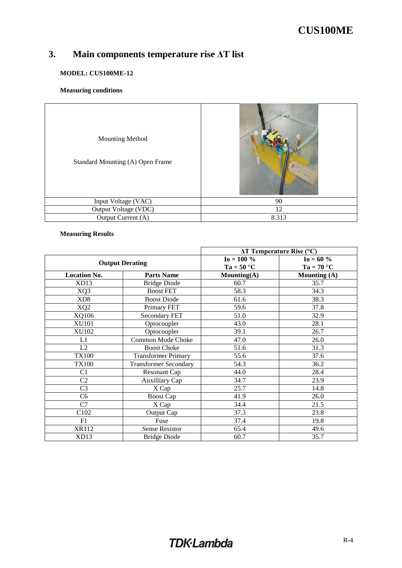### <span id="page-5-0"></span>**3. Main components temperature rise ΔT list**

### **MODEL: CUS100ME-12**

### **Measuring conditions**

| <b>Mounting Method</b><br>Standard Mounting (A) Open Frame | Acr F |
|------------------------------------------------------------|-------|
| Input Voltage (VAC)                                        | 90    |
| Output Voltage (VDC)                                       | 12    |
| Output Current (A)                                         | 8.313 |

### **Measuring Results**

|                     |                              |                | $\Delta T$ Temperature Rise (°C) |
|---------------------|------------------------------|----------------|----------------------------------|
|                     | <b>Output Derating</b>       | $I_0 = 100 \%$ | $I_0 = 60 \%$                    |
|                     |                              | $Ta = 50 °C$   | $Ta = 70 °C$                     |
| <b>Location No.</b> | <b>Parts Name</b>            | Mounting(A)    | <b>Mounting (A)</b>              |
| XD13                | <b>Bridge Diode</b>          | 60.7           | 35.7                             |
| XQ3                 | <b>Boost FET</b>             | 58.3           | 34.3                             |
| XD <sub>8</sub>     | <b>Boost Diode</b>           | 61.6           | 38.3                             |
| XQ <sub>2</sub>     | Primary FET                  | 59.6           | 37.8                             |
| XQ106               | Secondary FET                | 51.0           | 32.9                             |
| <b>XU101</b>        | Optocoupler                  | 43.0           | 28.1                             |
| XU102               | Optocoupler                  | 39.1           | 26.7                             |
| L1                  | <b>Common Mode Choke</b>     | 47.0           | 26.0                             |
| L2                  | <b>Boost Choke</b>           | 51.6           | 31.3                             |
| <b>TX100</b>        | <b>Transformer Primary</b>   | 55.6           | 37.6                             |
| <b>TX100</b>        | <b>Transformer Secondary</b> | 54.3           | 36.2                             |
| C <sub>1</sub>      | Resonant Cap                 | 44.0           | 28.4                             |
| C <sub>2</sub>      | <b>Auxilliary Cap</b>        | 34.7           | 23.9                             |
| C <sub>3</sub>      | X Cap                        | 25.7           | 14.8                             |
| C <sub>6</sub>      | <b>Boost Cap</b>             | 41.9           | 26.0                             |
| C7                  | X Cap                        | 34.4           | 21.5                             |
| C <sub>102</sub>    | Output Cap                   | 37.3           | 23.8                             |
| F1                  | Fuse                         | 37.4           | 19.8                             |
| XR112               | Sense Resistor               | 65.4           | 49.6                             |
| XD13                | <b>Bridge Diode</b>          | 60.7           | 35.7                             |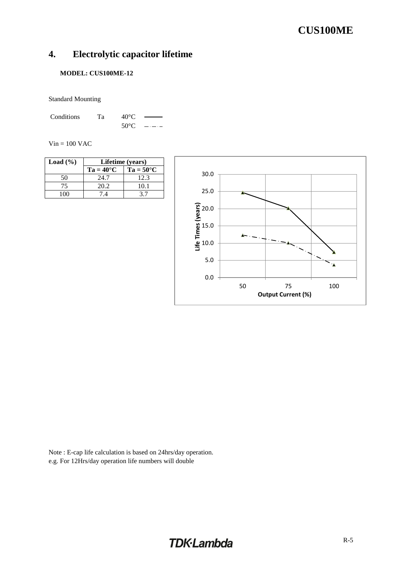### <span id="page-6-0"></span>**4. Electrolytic capacitor lifetime**

### **MODEL: CUS100ME-12**

Standard Mounting

Conditions Ta 40°C 50°C  $\frac{1}{2}$ .  $\frac{1}{2}$ .  $\frac{1}{2}$ 

 $Vin = 100$  VAC

| Load $(\% )$ | Lifetime (years)   |                    |  |
|--------------|--------------------|--------------------|--|
|              | $Ta = 40^{\circ}C$ | $Ta = 50^{\circ}C$ |  |
| 50           | 24.7               | 12.3               |  |
| 75           | 20.2               | 10.1               |  |
| 1 በበ         | 74                 |                    |  |



Note : E-cap life calculation is based on 24hrs/day operation. e.g. For 12Hrs/day operation life numbers will double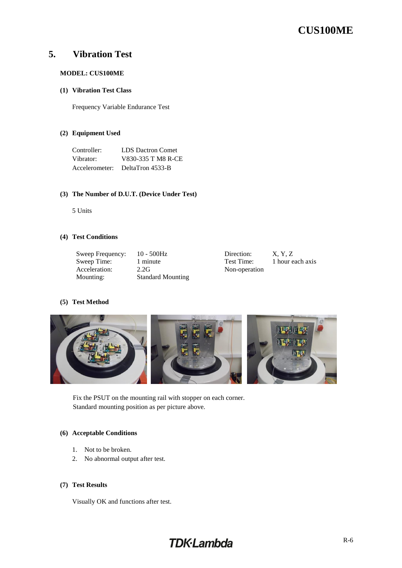### <span id="page-7-0"></span>**5. Vibration Test**

### **MODEL: CUS100ME**

#### **(1) Vibration Test Class**

Frequency Variable Endurance Test

### **(2) Equipment Used**

| Controller:    | <b>LDS</b> Dactron Comet |
|----------------|--------------------------|
| Vibrator:      | V830-335 T M8 R-CE       |
| Accelerometer: | DeltaTron 4533-B         |

#### **(3) The Number of D.U.T. (Device Under Test)**

5 Units

#### **(4) Test Conditions**

| Sweep Frequency: | $10 - 500$ Hz            | Direction:    | X. Y. Z          |
|------------------|--------------------------|---------------|------------------|
| Sweep Time:      | 1 minute                 | Test Time:    | 1 hour each axis |
| Acceleration:    | 2.2G                     | Non-operation |                  |
| Mounting:        | <b>Standard Mounting</b> |               |                  |
|                  |                          |               |                  |

### **(5) Test Method**



Fix the PSUT on the mounting rail with stopper on each corner. Standard mounting position as per picture above.

### **(6) Acceptable Conditions**

- 1. Not to be broken.
- 2. No abnormal output after test.

### **(7) Test Results**

Visually OK and functions after test.